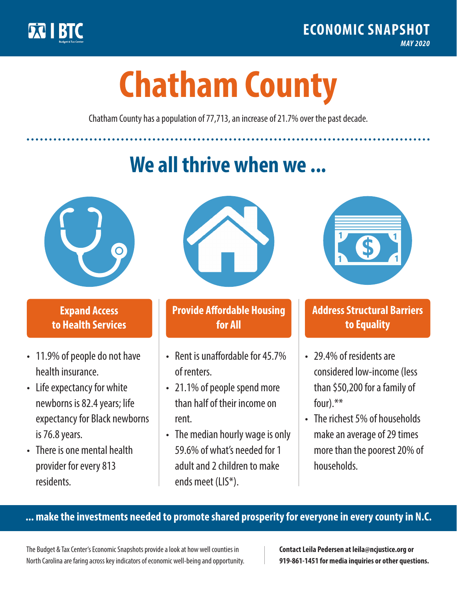

**1**

# **Chatham County**

Chatham County has a population of 77,713, an increase of 21.7% over the past decade.

# **We all thrive when we ...**



**\$ <sup>1</sup>**

**\$ <sup>1</sup>**

## **Expand Access to Health Services**

- 11.9% of people do not have health insurance.
- Life expectancy for white newborns is 82.4years; life expectancy for Black newborns is 76.8years.
- There is one mental health provider for every 813 residents.



## **Provide Affordable Housing for All**

- Rent is unaffordable for 45 7% of renters.
- 21.1% of people spend more than half of their income on rent.
- The median hourly wage is only 59.6% of what's needed for 1 adult and 2 children to make ends meet (LIS\*).



## **Address Structural Barriers to Equality**

- 29.4% of residents are considered low-income (less than \$50,200 for a family of four).\*\*
- The richest 5% of households make an average of 29 times more than the poorest 20% of households.

#### **... make the investments needed to promote shared prosperity for everyone in every county in N.C.**

The Budget & Tax Center's Economic Snapshots provide a look at how well counties in North Carolina are faring across key indicators of economic well-being and opportunity.